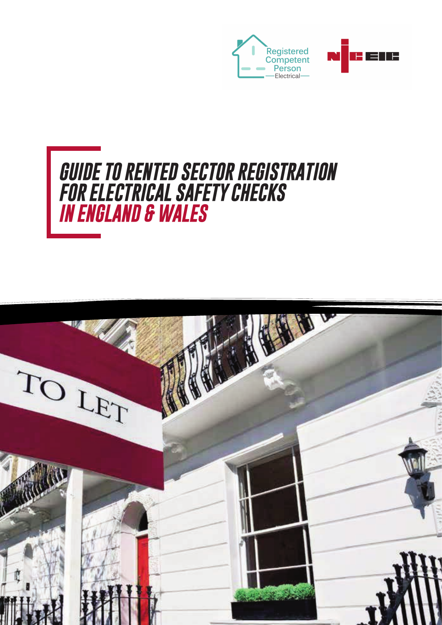

# *GUIDE TO RENTED SECTOR REGISTRATION FOR ELECTRICAL SAFETY CHECKS IN ENGLAND & WALES*

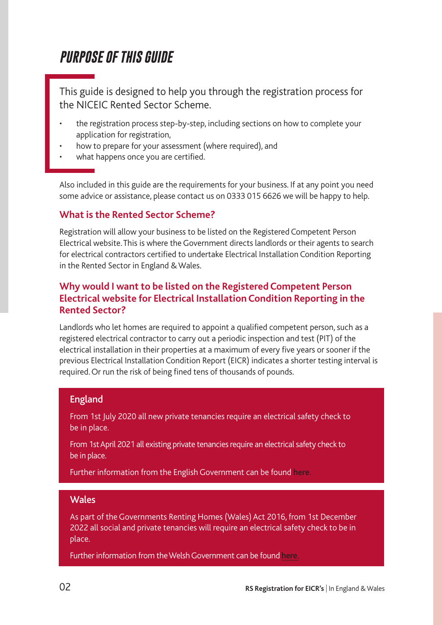### *PURPOSE OF THIS GUIDE*

This guide is designed to help you through the registration process for the NICEIC Rented Sector Scheme.

- the registration process step-by-step, including sections on how to complete your application for registration,
- how to prepare for your assessment (where required), and
- what happens once you are certified.

Also included in this guide are the requirements for your business. If at any point you need some advice or assistance, please contact us on 0333 015 6626 we will be happy to help.

### **What is the Rented Sector Scheme?**

Registration will allow your business to be listed on the Registered Competent Person Electrical website. This is where the Government directs landlords or their agents to search for electrical contractors certified to undertake Electrical Installation Condition Reporting in the Rented Sector in England & Wales.

### **Why would I want to be listed on the Registered Competent Person Electrical website for Electrical Installation Condition Reporting in the Rented Sector?**

Landlords who let homes are required to appoint a qualified competent person, such as a registered electrical contractor to carry out a periodic inspection and test (PIT) of the electrical installation in their properties at a maximum of every five years or sooner if the previous Electrical Installation Condition Report (EICR) indicates a shorter testing interval is required. Or run the risk of being fined tens of thousands of pounds.

### England

From 1st July 2020 all new private tenancies require an electrical safety check to be in place.

From 1st April 2021 all existing private tenancies require an electrical safety check to be in place.

Further information from the English Government can be found [here](https://www.gov.uk/government/publications/electrical-safety-standards-in-the-private-rented-sector-guidance-for-landlords-tenants-and-local-authorities/guide-for-landlords-electrical-safety-standards-in-the-private-rented-sector).

#### **Wales**

As part of the Governments Renting Homes (Wales) Act 2016, from 1st December 2022 all social and private tenancies will require an electrical safety check to be in place.

Further information from the Welsh Government can be found [here](https://gov.wales/fitness-homes-human-habitation-guidance-landlords-html).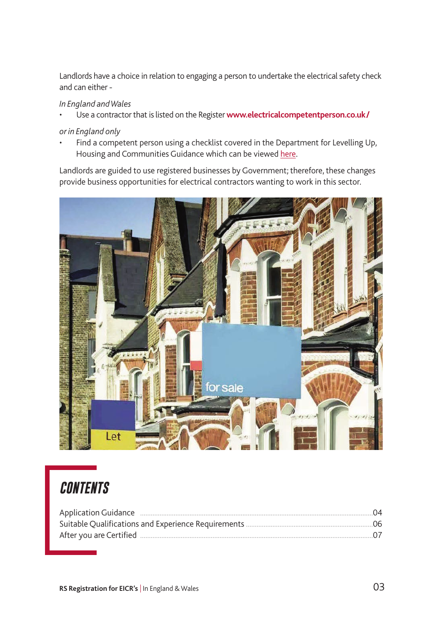Landlords have a choice in relation to engaging a person to undertake the electrical safety check and can either -

*In England and Wales*

• Use a contractor that is listed on the Register **www.electricalcompetentperson.co.uk/**

*or in England only*

• Find a competent person using a checklist covered in the Department for Levelling Up, Housing and Communities Guidance which can be viewed [here.](https://www.gov.uk/government/publications/electrical-safety-standards-in-the-private-rented-sector-guidance-for-landlords-tenants-and-local-authorities)

Landlords are guided to use registered businesses by Government; therefore, these changes provide business opportunities for electrical contractors wanting to work in this sector.



### *CONTENTS*

| <b>Application Guidance</b>                          | (14) |
|------------------------------------------------------|------|
| Suitable Qualifications and Experience Requirements. | 06.  |
| After you are Certified                              |      |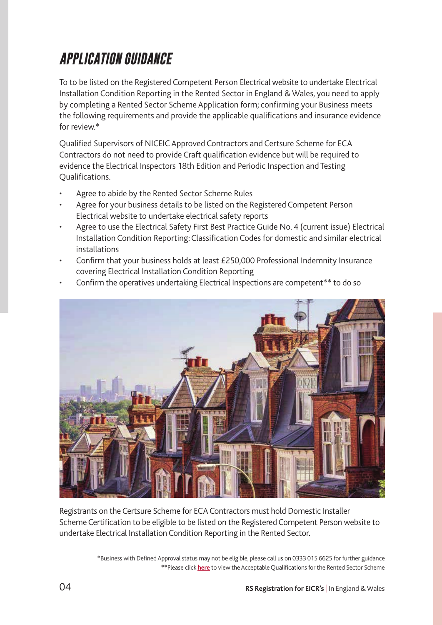## *APPLICATION GUIDANCE*

To to be listed on the Registered Competent Person Electrical website to undertake Electrical Installation Condition Reporting in the Rented Sector in England & Wales, you need to apply by completing a Rented Sector Scheme Application form; confirming your Business meets the following requirements and provide the applicable qualifications and insurance evidence for review.\*

Qualified Supervisors of NICEIC Approved Contractors and Certsure Scheme for ECA Contractors do not need to provide Craft qualification evidence but will be required to evidence the Electrical Inspectors 18th Edition and Periodic Inspection and Testing Qualifications.

- Agree to abide by the Rented Sector Scheme Rules
- Agree for your business details to be listed on the Registered Competent Person Electrical website to undertake electrical safety reports
- Agree to use the Electrical Safety First Best Practice Guide No. 4 (current issue) Electrical Installation Condition Reporting: Classification Codes for domestic and similar electrical installations
- Confirm that your business holds at least £250,000 Professional Indemnity Insurance covering Electrical Installation Condition Reporting
- Confirm the operatives undertaking Electrical Inspections are competent\*\* to do so



Registrants on the Certsure Scheme for ECA Contractors must hold Domestic Installer Scheme Certification to be eligible to be listed on the Registered Competent Person website to undertake Electrical Installation Condition Reporting in the Rented Sector.

> \*Business with Defined Approval status may not be eligible, please call us on 0333 015 6625 for further guidance \*\*Please click **[here](http://www.niceic.com/join-us/private-rented-sector-(1)/acceptable-prs-ei-qualifications-may-22.aspx)** to view the Acceptable Qualifications for the Rented Sector Scheme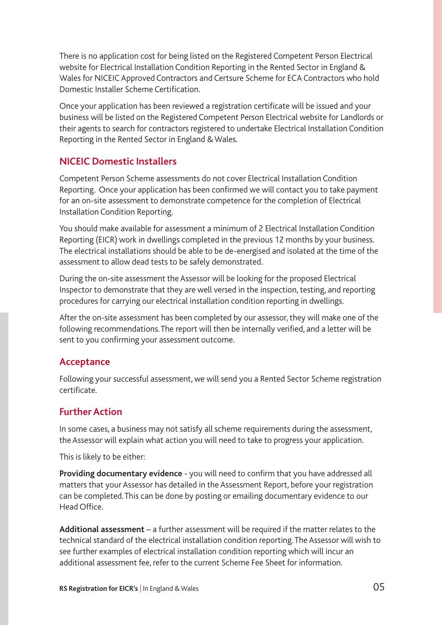There is no application cost for being listed on the Registered Competent Person Electrical website for Electrical Installation Condition Reporting in the Rented Sector in England & Wales for NICEIC Approved Contractors and Certsure Scheme for ECA Contractors who hold Domestic Installer Scheme Certification.

Once your application has been reviewed a registration certificate will be issued and your business will be listed on the Registered Competent Person Electrical website for Landlords or their agents to search for contractors registered to undertake Electrical Installation Condition Reporting in the Rented Sector in England & Wales.

### **NICEIC Domestic Installers**

Competent Person Scheme assessments do not cover Electrical Installation Condition Reporting. Once your application has been confirmed we will contact you to take payment for an on-site assessment to demonstrate competence for the completion of Electrical Installation Condition Reporting.

You should make available for assessment a minimum of 2 Electrical Installation Condition Reporting (EICR) work in dwellings completed in the previous 12 months by your business. The electrical installations should be able to be de-energised and isolated at the time of the assessment to allow dead tests to be safely demonstrated.

During the on-site assessment the Assessor will be looking for the proposed Electrical Inspector to demonstrate that they are well versed in the inspection, testing, and reporting procedures for carrying our electrical installation condition reporting in dwellings.

After the on-site assessment has been completed by our assessor, they will make one of the following recommendations. The report will then be internally verified, and a letter will be sent to you confirming your assessment outcome.

### **Acceptance**

Following your successful assessment, we will send you a Rented Sector Scheme registration certificate.

### **Further Action**

In some cases, a business may not satisfy all scheme requirements during the assessment, the Assessor will explain what action you will need to take to progress your application.

This is likely to be either:

**Providing documentary evidence** - you will need to confirm that you have addressed all matters that your Assessor has detailed in the Assessment Report, before your registration can be completed. This can be done by posting or emailing documentary evidence to our Head Office.

**Additional assessment** – a further assessment will be required if the matter relates to the technical standard of the electrical installation condition reporting. The Assessor will wish to see further examples of electrical installation condition reporting which will incur an additional assessment fee, refer to the current Scheme Fee Sheet for information.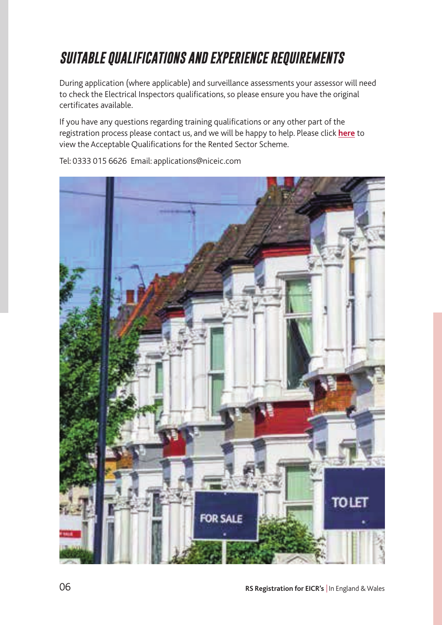## *SUITABLE QUALIFICATIONS AND EXPERIENCE REQUIREMENTS*

During application (where applicable) and surveillance assessments your assessor will need to check the Electrical Inspectors qualifications, so please ensure you have the original certificates available.

If you have any questions regarding training qualifications or any other part of the registration process please contact us, and we will be happy to help. Please click **[here](http://www.niceic.com/join-us/private-rented-sector-(1)/acceptable-prs-ei-qualifications-may-22.aspx)** to view the Acceptable Qualifications for the Rented Sector Scheme.



Tel: 0333 015 6626 Email: applications@niceic.com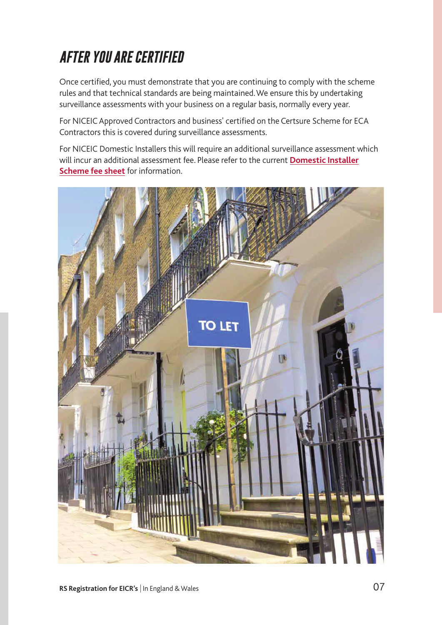## *AFTER YOU ARE CERTIFIED*

Once certified, you must demonstrate that you are continuing to comply with the scheme rules and that technical standards are being maintained. We ensure this by undertaking surveillance assessments with your business on a regular basis, normally every year.

For NICEIC Approved Contractors and business' certified on the Certsure Scheme for ECA Contractors this is covered during surveillance assessments.

For NICEIC Domestic Installers this will require an additional surveillance assessment which will incur an additional assessment fee. Please refer to the current **[Domestic Installer](http://www.niceic.com/join-us/domestic-installer-scheme-(1)/dis-fee-sheet-22.aspx) [Scheme fee sheet](http://www.niceic.com/join-us/domestic-installer-scheme-(1)/dis-fee-sheet-22.aspx)** for information.